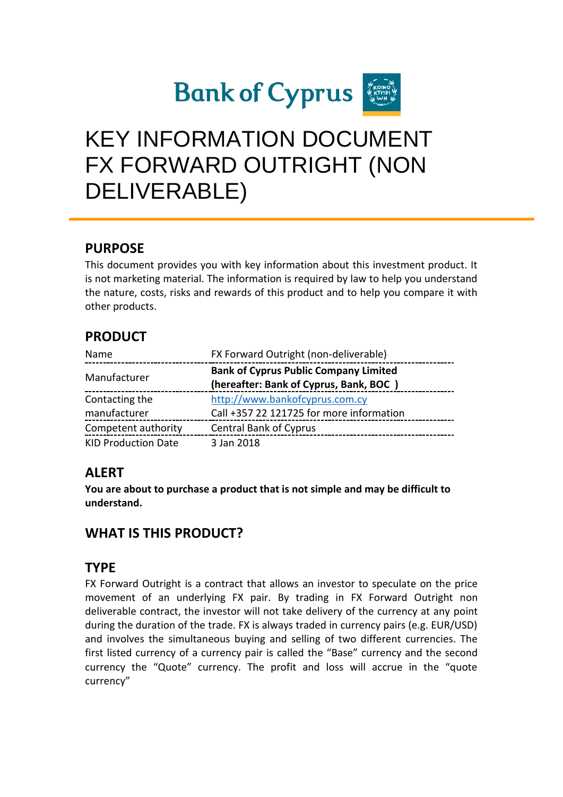

# KEY INFORMATION DOCUMENT FX FORWARD OUTRIGHT (NON DELIVERABLE)

#### **PURPOSE**

This document provides you with key information about this investment product. It is not marketing material. The information is required by law to help you understand the nature, costs, risks and rewards of this product and to help you compare it with other products.

# **PRODUCT**

| Name                                | FX Forward Outright (non-deliverable)                                                  |
|-------------------------------------|----------------------------------------------------------------------------------------|
| Manufacturer                        | <b>Bank of Cyprus Public Company Limited</b><br>(hereafter: Bank of Cyprus, Bank, BOC) |
| Contacting the                      | http://www.bankofcyprus.com.cy                                                         |
| manufacturer<br>Competent authority | Call +357 22 121725 for more information<br><b>Central Bank of Cyprus</b>              |
| <b>KID Production Date</b>          | 3 Jan 2018                                                                             |

#### **ALERT**

**You are about to purchase a product that is not simple and may be difficult to understand.**

#### **WHAT IS THIS PRODUCT?**

#### **TYPE**

FX Forward Outright is a contract that allows an investor to speculate on the price movement of an underlying FX pair. By trading in FX Forward Outright non deliverable contract, the investor will not take delivery of the currency at any point during the duration of the trade. FX is always traded in currency pairs (e.g. EUR/USD) and involves the simultaneous buying and selling of two different currencies. The first listed currency of a currency pair is called the "Base" currency and the second currency the "Quote" currency. The profit and loss will accrue in the "quote currency"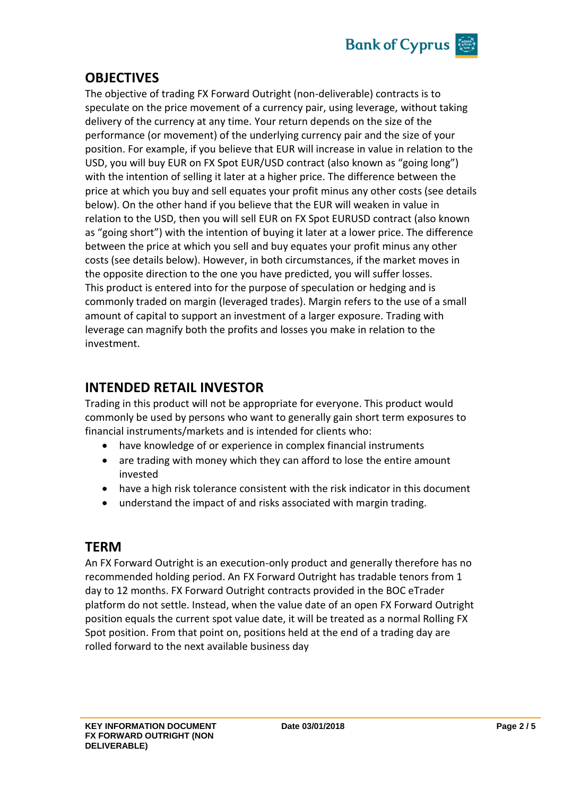

#### **OBJECTIVES**

The objective of trading FX Forward Outright (non-deliverable) contracts is to speculate on the price movement of a currency pair, using leverage, without taking delivery of the currency at any time. Your return depends on the size of the performance (or movement) of the underlying currency pair and the size of your position. For example, if you believe that EUR will increase in value in relation to the USD, you will buy EUR on FX Spot EUR/USD contract (also known as "going long") with the intention of selling it later at a higher price. The difference between the price at which you buy and sell equates your profit minus any other costs (see details below). On the other hand if you believe that the EUR will weaken in value in relation to the USD, then you will sell EUR on FX Spot EURUSD contract (also known as "going short") with the intention of buying it later at a lower price. The difference between the price at which you sell and buy equates your profit minus any other costs (see details below). However, in both circumstances, if the market moves in the opposite direction to the one you have predicted, you will suffer losses. This product is entered into for the purpose of speculation or hedging and is commonly traded on margin (leveraged trades). Margin refers to the use of a small amount of capital to support an investment of a larger exposure. Trading with leverage can magnify both the profits and losses you make in relation to the investment.

#### **INTENDED RETAIL INVESTOR**

Trading in this product will not be appropriate for everyone. This product would commonly be used by persons who want to generally gain short term exposures to financial instruments/markets and is intended for clients who:

- have knowledge of or experience in complex financial instruments
- are trading with money which they can afford to lose the entire amount invested
- have a high risk tolerance consistent with the risk indicator in this document
- understand the impact of and risks associated with margin trading.

#### **TERM**

An FX Forward Outright is an execution-only product and generally therefore has no recommended holding period. An FX Forward Outright has tradable tenors from 1 day to 12 months. FX Forward Outright contracts provided in the BOC eTrader platform do not settle. Instead, when the value date of an open FX Forward Outright position equals the current spot value date, it will be treated as a normal Rolling FX Spot position. From that point on, positions held at the end of a trading day are rolled forward to the next available business day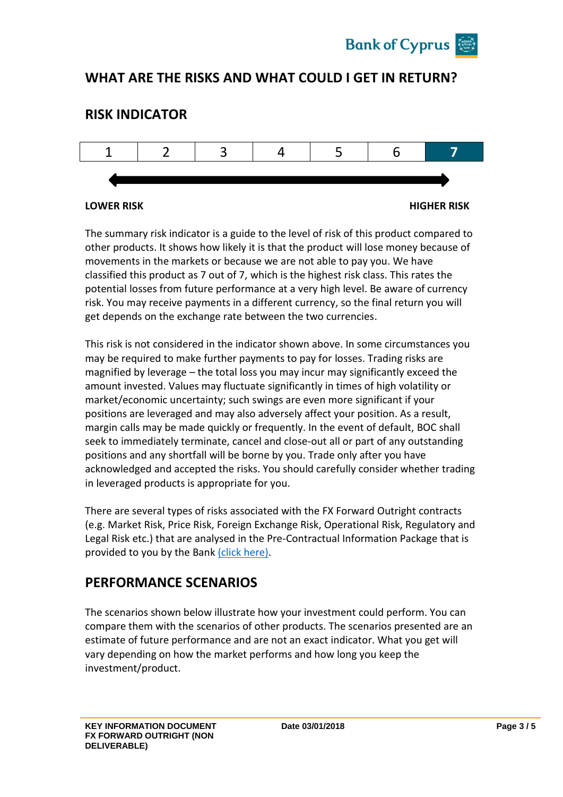

#### **WHAT ARE THE RISKS AND WHAT COULD I GET IN RETURN?**

#### **RISK INDICATOR**



The summary risk indicator is a guide to the level of risk of this product compared to other products. It shows how likely it is that the product will lose money because of movements in the markets or because we are not able to pay you. We have classified this product as 7 out of 7, which is the highest risk class. This rates the potential losses from future performance at a very high level. Be aware of currency risk. You may receive payments in a different currency, so the final return you will get depends on the exchange rate between the two currencies.

This risk is not considered in the indicator shown above. In some circumstances you may be required to make further payments to pay for losses. Trading risks are magnified by leverage – the total loss you may incur may significantly exceed the amount invested. Values may fluctuate significantly in times of high volatility or market/economic uncertainty; such swings are even more significant if your positions are leveraged and may also adversely affect your position. As a result, margin calls may be made quickly or frequently. In the event of default, BOC shall seek to immediately terminate, cancel and close-out all or part of any outstanding positions and any shortfall will be borne by you. Trade only after you have acknowledged and accepted the risks. You should carefully consider whether trading in leveraged products is appropriate for you.

There are several types of risks associated with the FX Forward Outright contracts (e.g. Market Risk, Price Risk, Foreign Exchange Risk, Operational Risk, Regulatory and Legal Risk etc.) that are analysed in the Pre-Contractual Information Package that is provided to you by the Bank [\(click here\).](https://www.bankofcyprus.com.cy/globalassets/wealth/mifid-ii/mifid-pre-contractual-information-package_en_final-doc_062019_web.pdf)

#### **PERFORMANCE SCENARIOS**

The scenarios shown below illustrate how your investment could perform. You can compare them with the scenarios of other products. The scenarios presented are an estimate of future performance and are not an exact indicator. What you get will vary depending on how the market performs and how long you keep the investment/product.

**LOWER RISK HIGHER RISK**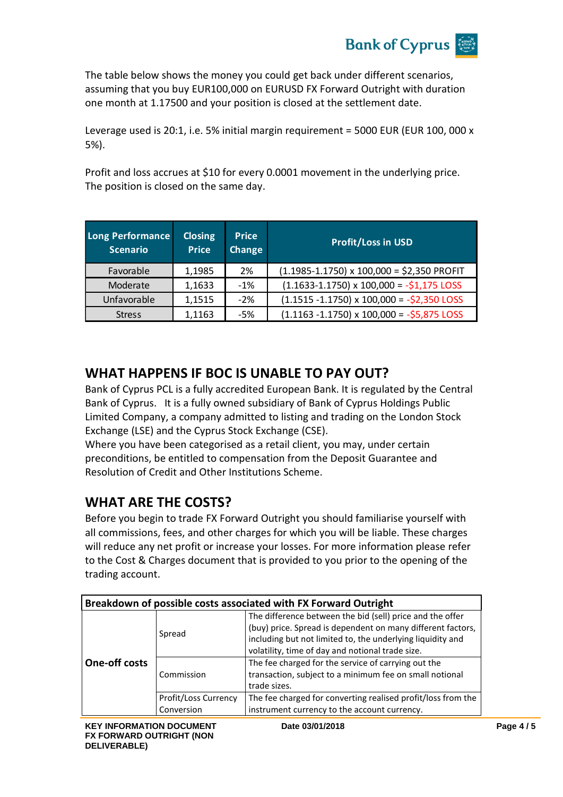

The table below shows the money you could get back under different scenarios, assuming that you buy EUR100,000 on EURUSD FX Forward Outright with duration one month at 1.17500 and your position is closed at the settlement date.

Leverage used is 20:1, i.e. 5% initial margin requirement = 5000 EUR (EUR 100, 000  $\times$ 5%).

Profit and loss accrues at \$10 for every 0.0001 movement in the underlying price. The position is closed on the same day.

| Long Performance<br><b>Scenario</b> | <b>Closing</b><br><b>Price</b> | <b>Price</b><br>Change | <b>Profit/Loss in USD</b>                                   |
|-------------------------------------|--------------------------------|------------------------|-------------------------------------------------------------|
| Favorable                           | 1,1985                         | 2%                     | $(1.1985 - 1.1750)$ x 100,000 = \$2,350 PROFIT              |
| Moderate                            | 1,1633                         | $-1\%$                 | $(1.1633 - 1.1750) \times 100,000 = -51,175$ LOSS           |
| Unfavorable                         | 1,1515                         | $-2%$                  | $(1.1515 - 1.1750) \times 100,000 = -\frac{2}{3}2,350$ LOSS |
| <b>Stress</b>                       | 1,1163                         | -5%                    | $(1.1163 - 1.1750) \times 100,000 = -55,875$ LOSS           |

# **WHAT HAPPENS IF BOC IS UNABLE TO PAY OUT?**

Bank of Cyprus PCL is a fully accredited European Bank. It is regulated by the Central Bank of Cyprus. It is a fully owned subsidiary of Bank of Cyprus Holdings Public Limited Company, a company admitted to listing and trading on the London Stock Exchange (LSE) and the Cyprus Stock Exchange (CSE).

Where you have been categorised as a retail client, you may, under certain preconditions, be entitled to compensation from the Deposit Guarantee and Resolution of Credit and Other Institutions Scheme.

# **WHAT ARE THE COSTS?**

Before you begin to trade FX Forward Outright you should familiarise yourself with all commissions, fees, and other charges for which you will be liable. These charges will reduce any net profit or increase your losses. For more information please refer to the Cost & Charges document that is provided to you prior to the opening of the trading account.

| Breakdown of possible costs associated with FX Forward Outright             |                                                                                                                                                                                                                                            |                                                                                                              |  |  |
|-----------------------------------------------------------------------------|--------------------------------------------------------------------------------------------------------------------------------------------------------------------------------------------------------------------------------------------|--------------------------------------------------------------------------------------------------------------|--|--|
| Spread<br>One-off costs<br>Commission<br>Profit/Loss Currency<br>Conversion | The difference between the bid (sell) price and the offer<br>(buy) price. Spread is dependent on many different factors,<br>including but not limited to, the underlying liquidity and<br>volatility, time of day and notional trade size. |                                                                                                              |  |  |
|                                                                             | The fee charged for the service of carrying out the<br>transaction, subject to a minimum fee on small notional<br>trade sizes.                                                                                                             |                                                                                                              |  |  |
|                                                                             |                                                                                                                                                                                                                                            | The fee charged for converting realised profit/loss from the<br>instrument currency to the account currency. |  |  |